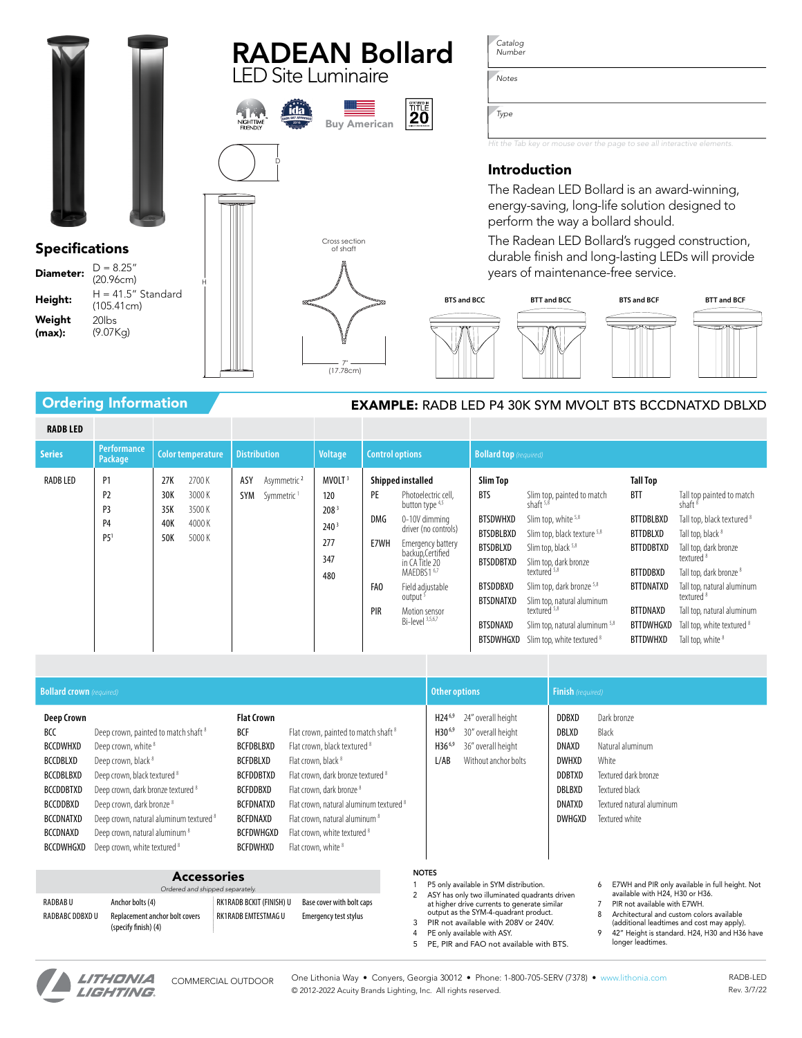

Ordering Information **EXAMPLE:** RADB LED P4 30K SYM MVOLT BTS BCCDNATXD DBLXD

| <b>RADBLED</b> |                                        |                                 |                                           |                     |                                                   |                                                                                        |                                               |                                                                                                                                                                                                                                                                                 |                                                                                                                                                        |                                                                                                                                                                                                                                                                                                                                             |                                                                                                                                                                                           |                                                                                                                                                                                                                                                                                                                                                          |  |  |  |  |  |  |  |
|----------------|----------------------------------------|---------------------------------|-------------------------------------------|---------------------|---------------------------------------------------|----------------------------------------------------------------------------------------|-----------------------------------------------|---------------------------------------------------------------------------------------------------------------------------------------------------------------------------------------------------------------------------------------------------------------------------------|--------------------------------------------------------------------------------------------------------------------------------------------------------|---------------------------------------------------------------------------------------------------------------------------------------------------------------------------------------------------------------------------------------------------------------------------------------------------------------------------------------------|-------------------------------------------------------------------------------------------------------------------------------------------------------------------------------------------|----------------------------------------------------------------------------------------------------------------------------------------------------------------------------------------------------------------------------------------------------------------------------------------------------------------------------------------------------------|--|--|--|--|--|--|--|
| <b>Series</b>  | <b>Performance</b><br>Package          |                                 | Color temperature                         | <b>Distribution</b> |                                                   | <b>Voltage</b>                                                                         | <b>Control options</b>                        |                                                                                                                                                                                                                                                                                 | <b>Bollard top</b> (required)                                                                                                                          |                                                                                                                                                                                                                                                                                                                                             |                                                                                                                                                                                           |                                                                                                                                                                                                                                                                                                                                                          |  |  |  |  |  |  |  |
| RADB LED       | P1<br>P2<br>P3<br>P4<br>P <sub>5</sub> | 27K<br>30K<br>35K<br>40K<br>50K | 2700K<br>3000K<br>3500K<br>4000K<br>5000K | ASY<br><b>SYM</b>   | Asymmetric <sup>2</sup><br>Symmetric <sup>1</sup> | MVOLT <sup>3</sup><br>120<br>208 <sup>3</sup><br>240 <sup>3</sup><br>277<br>347<br>480 | <b>PE</b><br>DMG<br>E7WH<br>FAO<br><b>PIR</b> | Shipped installed<br>Photoelectric cell,<br>button type 4,5<br>0-10V dimming<br>driver (no controls)<br>Emergency battery<br>backup, Certified<br>in CA Title 20<br>MAEDBS1 <sup>6,7</sup><br>Field adiustable<br>output <sup>5</sup><br>Motion sensor<br>$Bi$ -level $3,5,6,7$ | Slim Top<br><b>BTS</b><br>BTSDWHXD<br><b>BTSDBLBXD</b><br><b>BTSDBLXD</b><br>BTSDDBTXD<br><b>BTSDDBXD</b><br>BTSDNATXD<br><b>BTSDNAXD</b><br>BTSDWHGXD | Slim top, painted to match<br>shaft $5,8$<br>Slim top, white 5,8<br>Slim top, black texture 5,8<br>Slim top, black 5,8<br>Slim top, dark bronze<br>textured <sup>5,8</sup><br>Slim top, dark bronze <sup>5,8</sup><br>Slim top, natural aluminum<br>textured <sup>5,8</sup><br>Slim top, natural aluminum 5,8<br>Slim top, white textured 8 | <b>Tall Top</b><br><b>BTT</b><br><b>BTTDBLBXD</b><br><b>BTTDBLXD</b><br><b>BTTDDBTXD</b><br><b>BTTDDBXD</b><br><b>BTTDNATXD</b><br><b>BTTDNAXD</b><br><b>BTTDWHGXD</b><br><b>BTTDWHXD</b> | Tall top painted to match<br>shaft <sup>8</sup><br>Tall top, black textured 8<br>Tall top, black <sup>8</sup><br>Tall top, dark bronze<br>textured <sup>8</sup><br>Tall top, dark bronze <sup>8</sup><br>Tall top, natural aluminum<br>textured <sup>8</sup><br>Tall top, natural aluminum<br>Tall top, white textured 8<br>Tall top, white <sup>8</sup> |  |  |  |  |  |  |  |

| <b>Bollard crown</b> (required)                                                                                                                                        |                                                                                                                                                                                                                                                                                                                                                                                 |                                                                                                                                                          |                                                                                                                                                                                                                                                                                                                                                                                 | <b>Other options</b>                              |                                                                                        | <b>Finish</b> (required)                                                                             |                                                                                                                                            |  |  |  |
|------------------------------------------------------------------------------------------------------------------------------------------------------------------------|---------------------------------------------------------------------------------------------------------------------------------------------------------------------------------------------------------------------------------------------------------------------------------------------------------------------------------------------------------------------------------|----------------------------------------------------------------------------------------------------------------------------------------------------------|---------------------------------------------------------------------------------------------------------------------------------------------------------------------------------------------------------------------------------------------------------------------------------------------------------------------------------------------------------------------------------|---------------------------------------------------|----------------------------------------------------------------------------------------|------------------------------------------------------------------------------------------------------|--------------------------------------------------------------------------------------------------------------------------------------------|--|--|--|
| <b>Deep Crown</b><br>BCC<br><b>BCCDWHXD</b><br><b>BCCDBLXD</b><br>BCCDBLBXD<br><b>BCCDDBTXD</b><br><b>BCCDDBXD</b><br><b>BCCDNATXD</b><br>BCCDNAXD<br><b>BCCDWHGXD</b> | Deep crown, painted to match shaft 8<br>Deep crown, white <sup>8</sup><br>Deep crown, black <sup>8</sup><br>Deep crown, black textured <sup>8</sup><br>Deep crown, dark bronze textured 8<br>Deep crown, dark bronze <sup>8</sup><br>Deep crown, natural aluminum textured <sup>8</sup><br>Deep crown, natural aluminum <sup>8</sup><br>Deep crown, white textured <sup>8</sup> | <b>Flat Crown</b><br>BCF<br>BCFDBLBXD<br>BCFDBLXD<br><b>BCFDDBTXD</b><br><b>BCFDDBXD</b><br><b>BCFDNATXD</b><br>BCFDNAXD<br>BCFDWHGXD<br><b>BCFDWHXD</b> | Flat crown, painted to match shaft <sup>8</sup><br>Flat crown, black textured <sup>8</sup><br>Flat crown, black <sup>8</sup><br>Flat crown, dark bronze textured 8<br>Flat crown, dark bronze <sup>8</sup><br>Flat crown, natural aluminum textured 8<br>Flat crown, natural aluminum <sup>8</sup><br>Flat crown, white textured <sup>8</sup><br>Flat crown, white <sup>8</sup> | $H24^{6,9}$<br>$H30^{6,9}$<br>$H36^{6,9}$<br>L/AB | 24" overall height<br>30" overall height<br>36" overall height<br>Without anchor bolts | DDBXD<br>DBLXD<br>DNAXD<br><b>DWHXD</b><br><b>DDBTXD</b><br><b>DBLBXD</b><br><b>DNATXD</b><br>DWHGXD | Dark bronze<br>Black<br>Natural aluminum<br>White<br>Textured dark bronze<br>Textured black<br>Textured natural aluminum<br>Textured white |  |  |  |

| <b>Accessories</b><br>Ordered and shipped separately. |                                                                            |                                                 |                                                           |  |  |  |  |  |  |  |  |  |  |
|-------------------------------------------------------|----------------------------------------------------------------------------|-------------------------------------------------|-----------------------------------------------------------|--|--|--|--|--|--|--|--|--|--|
| RADBAB U<br>RADBABC DDBXD U                           | Anchor bolts (4)<br>Replacement anchor bolt covers<br>(specify finish) (4) | RK1RADB BCKIT (FINISH) U<br>RK1RADB EMTESTMAG U | Base cover with bolt caps<br><b>Emergency test stylus</b> |  |  |  |  |  |  |  |  |  |  |

# NOTES

- 1 P5 only available in SYM distribution. 2 ASY has only two illuminated quadrants driven at higher drive currents to generate similar output as the SYM-4-quadrant product.
- 3 PIR not available with 208V or 240V.
- 4 PE only available with ASY. 5 PE, PIR and FAO not available with BTS.
- 6 E7WH and PIR only available in full height. Not available with H24, H30 or H36. 7 PIR not available with E7WH.
- 8 Architectural and custom colors available
- (additional leadtimes and cost may apply).
- 9 42" Height is standard. H24, H30 and H36 have longer leadtimes.



One Lithonia Way • Conyers, Georgia 30012 • Phone: 1-800-705-SERV (7378) • [www.lithonia.com](http://www.lithonia.com) COMMERCIAL OUTDOOR RADB-LED © 2012-2022 Acuity Brands Lighting, Inc. All rights reserved.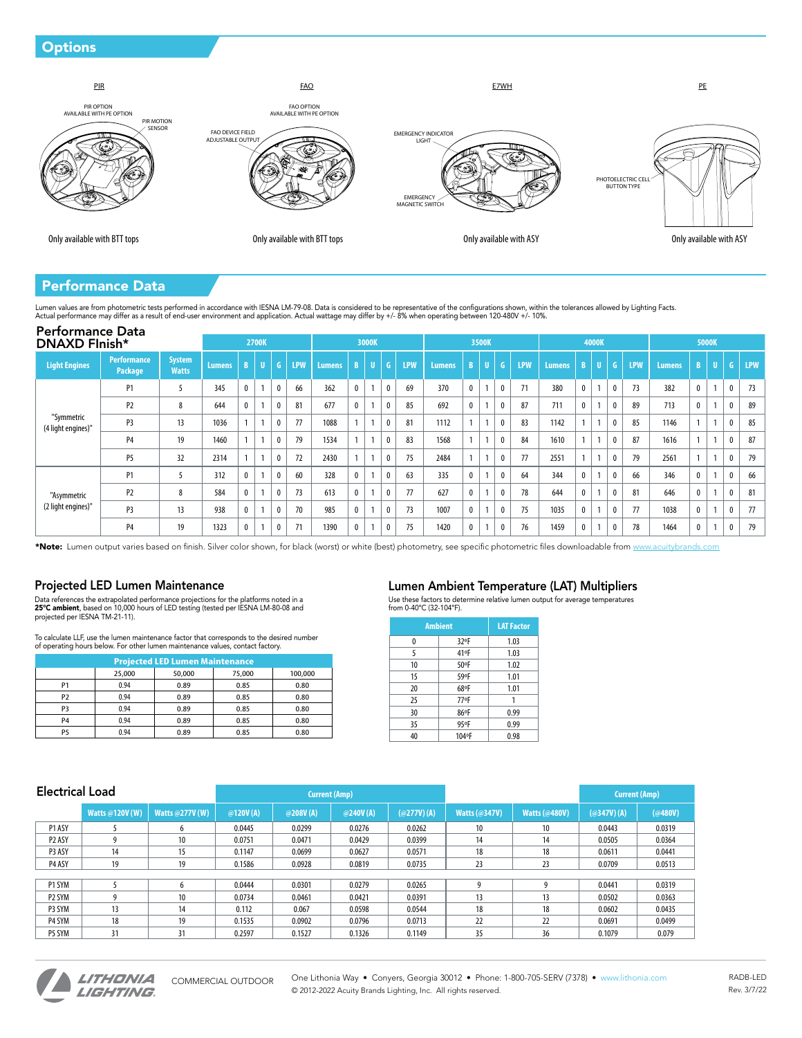## **Options**



## Performance Data

Lumen values are from photometric tests performed in accordance with IESNA LM-79-08. Data is considered to be representative of the configurations shown, within the tolerances allowed by Lighting Facts.<br>Actual performance

| <b>Performance Data</b><br><b>DNAXD Flnish*</b> |                               |                               |               |              | 2700K          |              |            |               |              | 3000K |                  |            |               |              | 3500K |              |            |        |              | 4000K |              |            |               |              | <b>5000K</b> |              |            |
|-------------------------------------------------|-------------------------------|-------------------------------|---------------|--------------|----------------|--------------|------------|---------------|--------------|-------|------------------|------------|---------------|--------------|-------|--------------|------------|--------|--------------|-------|--------------|------------|---------------|--------------|--------------|--------------|------------|
| <b>Light Engines</b>                            | <b>Performance</b><br>Package | <b>System</b><br><b>Watts</b> | <b>Lumens</b> | $\mathbf{R}$ |                | G.           | <b>LPW</b> | <b>Lumens</b> | $\mathbf{R}$ |       | $\mathsf{G}$     | <b>LPW</b> | <b>Lumens</b> |              |       | G.           | <b>LPW</b> | Lumens | B            |       | G            | <b>LPW</b> | <b>Lumens</b> | R            |              | G            | <b>LPW</b> |
|                                                 | P <sub>1</sub>                | 5                             | 345           | U            | $\overline{1}$ | $\mathbf{0}$ | 66         | 362           | $\mathbf 0$  |       | $\mathbf{0}$     | 69         | 370           | $\mathbf{0}$ |       | $\mathbf{0}$ | 71         | 380    | $\mathbf{0}$ |       | $\mathbf{0}$ | 73         | 382           | $\mathbf{0}$ |              | 0            | 73         |
|                                                 | P <sub>2</sub>                | 8                             | 644           |              |                | $\mathbf{0}$ | 81         | 677           | $\mathbf 0$  |       | $\mathbf{0}$     | 85         | 692           | 0            |       | $\mathbf{0}$ | 87         | 711    | $\mathbf{0}$ |       | $\theta$     | 89         | 713           | $\mathbf{0}$ |              | $\mathbf{0}$ | 89         |
| "Symmetric<br>(4 light engines)"                | P <sub>3</sub>                | 13                            | 1036          |              |                | 0            | 77         | 1088          |              |       | $\mathbf{0}$     | 81         | 1112          |              |       | $\mathbf{0}$ | 83         | 1142   |              |       |              | 85         | 1146          |              | $\mathbf{A}$ | $\mathbf{0}$ | 85         |
|                                                 | P <sub>4</sub>                | 19                            | 1460          |              | $\overline{a}$ | $\mathbf{0}$ | 79         | 1534          |              |       | $\mathbf{0}$     | 83         | 1568          |              |       | $\mathbf{0}$ | 84         | 1610   | $\mathbf{A}$ |       |              | 87         | 1616          |              |              | $\mathbf{0}$ | 87         |
|                                                 | <b>P5</b>                     | 32                            | 2314          |              |                | 0            | 72         | 2430          |              |       | $\mathbf 0$      | 75         | 2484          |              |       | 0            | 77         | 2551   | $\mathbf{A}$ |       |              | 79         | 2561          |              |              | $\mathbf 0$  | 79         |
|                                                 | P <sub>1</sub>                |                               | 312           | υ            |                | $\mathbf{0}$ | 60         | 328           | $\mathbf 0$  |       | $\mathbf 0$      | 63         | 335           | 0            |       | $\theta$     | 64         | 344    | $\mathbf{0}$ |       |              | 66         | 346           | $\mathbf{0}$ |              | $\mathbf{0}$ | 66         |
| "Asymmetric                                     | P <sub>2</sub>                | 8                             | 584           | 0            |                | 0            | 73         | 613           | $\mathbf 0$  |       | $\boldsymbol{0}$ | 77         | 627           | 0            |       | 0            | 78         | 644    | $\mathbf{0}$ |       |              | 81         | 646           | $\mathbf{0}$ |              | $\mathbf 0$  | 81         |
| (2 light engines)"                              | P <sub>3</sub>                | 13                            | 938           |              |                | $\mathbf{0}$ | 70         | 985           | $\mathbf{0}$ |       | $\mathbf{0}$     | 73         | 1007          | $\mathbf 0$  |       | $\mathbf{0}$ | 75         | 1035   | $\mathbf{0}$ |       |              | 77         | 1038          | $\mathbf{0}$ |              | $\mathbf{0}$ | 77         |
|                                                 | <b>P4</b>                     | 19                            | 1323          |              |                | $\mathbf{0}$ | 71         | 1390          | $\mathbf 0$  |       | $\mathbf{0}$     | 75         | 1420          | 0            |       | $\mathbf{0}$ | 76         | 1459   | $\mathbf{0}$ |       |              | 78         | 1464          | 0            |              | $\mathbf{0}$ | 79         |

\*Note: Lumen output varies based on finish. Silver color shown, for black (worst) or white (best) photometry, see specific photometric files downloadable from [www.acuitybrands.com](http://www.acuitybrands.com)

## Projected LED Lumen Maintenance

Data references the extrapolated performance projections for the platforms noted in a<br>**25°C ambient,** based on 10,000 hours of LED testing (tested per IESNA LM-80-08 and projected per IESNA TM-21-11).

To calculate LLF, use the lumen maintenance factor that corresponds to the desired number of operating hours below. For other lumen maintenance values, contact factory.

| <b>Projected LED Lumen Maintenance</b> |        |        |        |         |  |  |  |  |  |  |  |  |
|----------------------------------------|--------|--------|--------|---------|--|--|--|--|--|--|--|--|
|                                        | 25.000 | 50,000 | 75,000 | 100,000 |  |  |  |  |  |  |  |  |
| P1                                     | 0.94   | 0.89   | 0.85   | 0.80    |  |  |  |  |  |  |  |  |
| P <sub>2</sub>                         | 0.94   | 0.89   | 0.85   | 0.80    |  |  |  |  |  |  |  |  |
| P3                                     | 0.94   | 0.89   | 0.85   | 0.80    |  |  |  |  |  |  |  |  |
| P4                                     | 0.94   | 0.89   | 0.85   | 0.80    |  |  |  |  |  |  |  |  |
| P5                                     | 0.94   | 0.89   | 0.85   | 0.80    |  |  |  |  |  |  |  |  |

## Lumen Ambient Temperature (LAT) Multipliers

Use these factors to determine relative lumen output for average temperatures from 0-40ºC (32-104ºF).

| <b>Ambient</b> | <b>LAT Factor</b> |      |
|----------------|-------------------|------|
| 0              | 32°F              | 1.03 |
| 5              | 41°F              | 1.03 |
| 10             | 50°F              | 1.02 |
| 15             | 59°F              | 1.01 |
| 20             | 68°F              | 1.01 |
| 25             | 77°F              |      |
| 30             | 86°F              | 0.99 |
| 35             | 95°F              | 0.99 |
| 40             | 104°F             | 0.98 |

| <b>Electrical Load</b> |                 |                        |          |                      | <b>Current (Amp)</b> |            |                      |                      | <b>Current (Amp)</b> |         |  |  |
|------------------------|-----------------|------------------------|----------|----------------------|----------------------|------------|----------------------|----------------------|----------------------|---------|--|--|
|                        | Watts @120V (W) | <b>Watts @277V (W)</b> | @120V(A) | @240V(A)<br>@208V(A) |                      | (a277V)(A) | <b>Watts (@347V)</b> | <b>Watts (@480V)</b> | (a347V)(A)           | (@480V) |  |  |
| P1 ASY                 |                 | 6                      | 0.0445   | 0.0299               | 0.0276               | 0.0262     | 10                   | 10                   | 0.0443               | 0.0319  |  |  |
| P <sub>2</sub> ASY     |                 | 10                     | 0.0751   | 0.0471               | 0.0429               | 0.0399     | 14                   | 14                   | 0.0505               | 0.0364  |  |  |
| P3 ASY                 | 14              | 15                     | 0.1147   | 0.0699               | 0.0627               | 0.0571     | 18                   | 18                   | 0.0611               | 0.0441  |  |  |
| P4 ASY                 | 19              | 19                     | 0.1586   | 0.0928               | 0.0819               | 0.0735     | 23                   | 23                   | 0.0709               | 0.0513  |  |  |
|                        |                 |                        |          |                      |                      |            |                      |                      |                      |         |  |  |
| P1 SYM                 |                 | 6                      | 0.0444   | 0.0301               | 0.0279               | 0.0265     | 9                    | q                    | 0.0441               | 0.0319  |  |  |
| P <sub>2</sub> SYM     |                 | 10                     | 0.0734   | 0.0461               | 0.0421               | 0.0391     | 13                   | 13                   | 0.0502               | 0.0363  |  |  |
| P3 SYM                 | 13              | 14                     | 0.112    | 0.067                | 0.0598               | 0.0544     | 18                   | 18                   | 0.0602               | 0.0435  |  |  |
| P4 SYM                 | 18              | 19                     | 0.1535   | 0.0902               | 0.0796               | 0.0713     | 22                   | 22                   | 0.0691               | 0.0499  |  |  |
| P5 SYM                 | 31              | 31                     | 0.2597   | 0.1527               | 0.1326               | 0.1149     | 35                   | 36                   | 0.1079               | 0.079   |  |  |